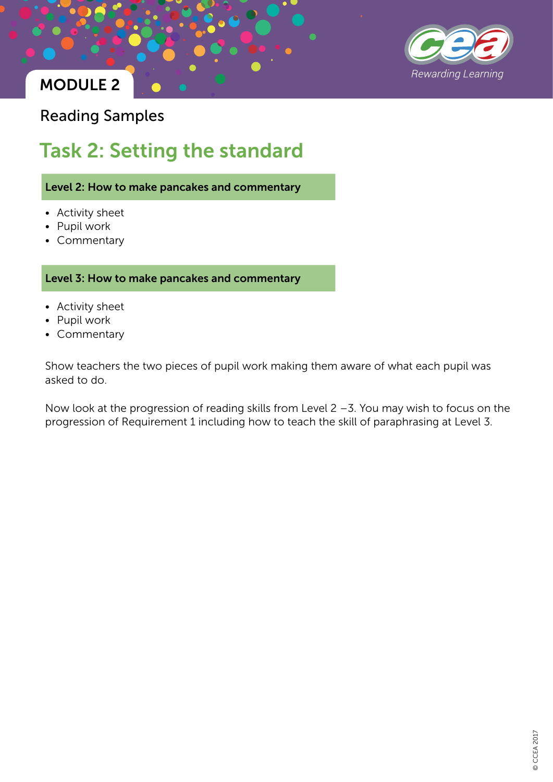

Reading Samples

# Task 2: Setting the standard

Level 2: How to make pancakes and commentary

- Activity sheet
- Pupil work
- Commentary

Level 3: How to make pancakes and commentary

- Activity sheet
- Pupil work
- Commentary

Show teachers the two pieces of pupil work making them aware of what each pupil was asked to do.

Now look at the progression of reading skills from Level 2 –3. You may wish to focus on the progression of Requirement 1 including how to teach the skill of paraphrasing at Level 3.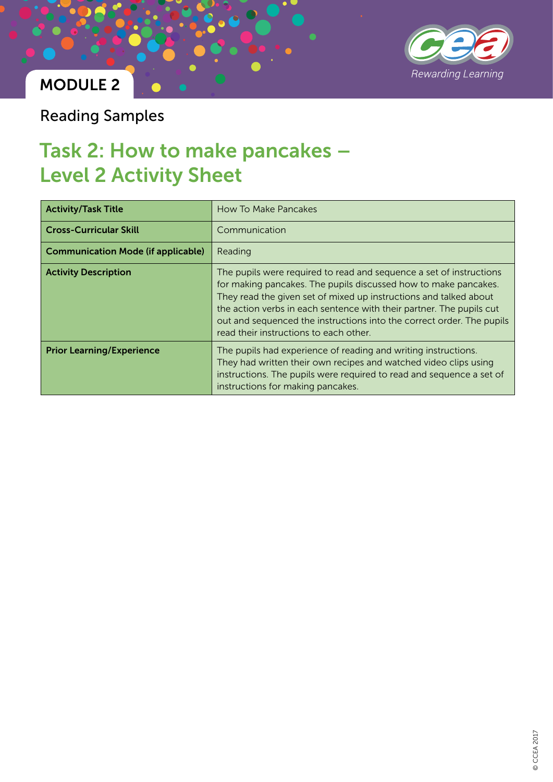

Reading Samples

## Task 2: How to make pancakes – Level 2 Activity Sheet

| <b>Activity/Task Title</b>                | How To Make Pancakes                                                                                                                                                                                                                                                                                                                                                                                   |  |
|-------------------------------------------|--------------------------------------------------------------------------------------------------------------------------------------------------------------------------------------------------------------------------------------------------------------------------------------------------------------------------------------------------------------------------------------------------------|--|
| <b>Cross-Curricular Skill</b>             | Communication                                                                                                                                                                                                                                                                                                                                                                                          |  |
| <b>Communication Mode (if applicable)</b> | Reading                                                                                                                                                                                                                                                                                                                                                                                                |  |
| <b>Activity Description</b>               | The pupils were required to read and sequence a set of instructions<br>for making pancakes. The pupils discussed how to make pancakes.<br>They read the given set of mixed up instructions and talked about<br>the action verbs in each sentence with their partner. The pupils cut<br>out and sequenced the instructions into the correct order. The pupils<br>read their instructions to each other. |  |
| <b>Prior Learning/Experience</b>          | The pupils had experience of reading and writing instructions.<br>They had written their own recipes and watched video clips using<br>instructions. The pupils were required to read and sequence a set of<br>instructions for making pancakes.                                                                                                                                                        |  |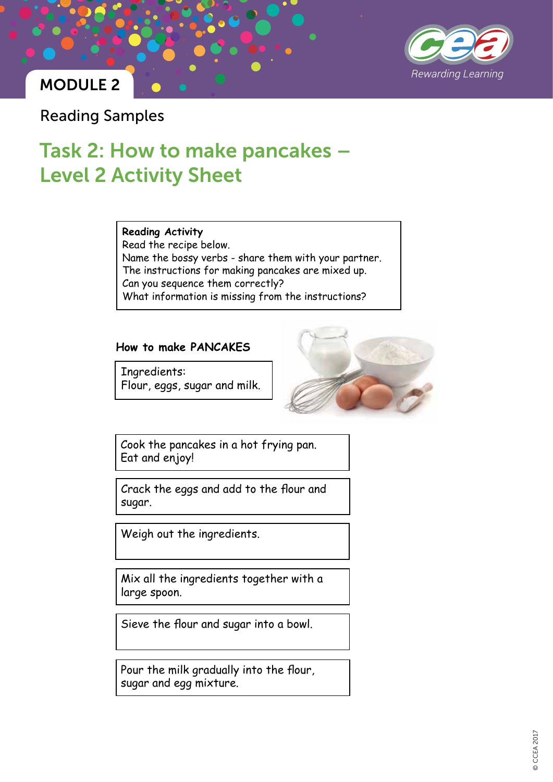

Reading Samples

# Task 2: How to make pancakes – Level 2 Activity Sheet

**Reading Activity** Read the recipe below. Name the bossy verbs - share them with your partner. The instructions for making pancakes are mixed up. Can you sequence them correctly? What information is missing from the instructions?

#### **How to make PANCAKES**

Ingredients: Flour, eggs, sugar and milk.



Cook the pancakes in a hot frying pan. Eat and enjoy!

Crack the eggs and add to the flour and sugar.

Weigh out the ingredients.

Mix all the ingredients together with a large spoon.

Sieve the flour and sugar into a bowl.

Pour the milk gradually into the flour, sugar and egg mixture.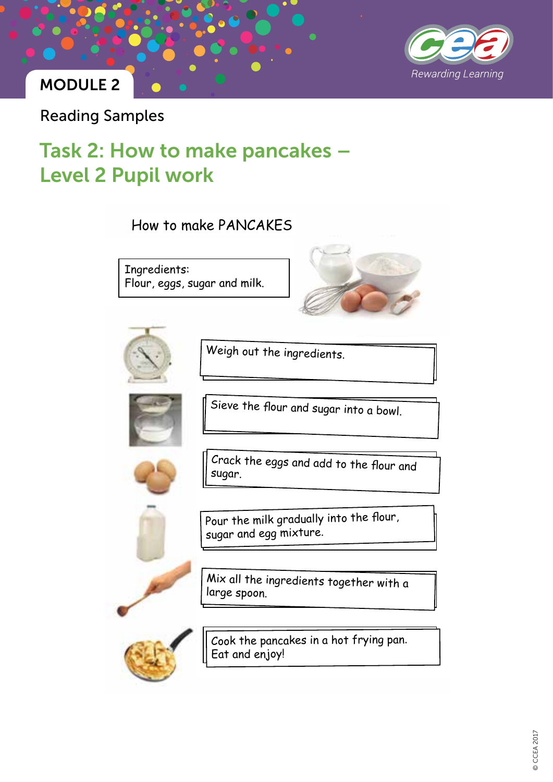

Reading Samples

# Task 2: How to make pancakes – Level 2 Pupil work

How to make PANCAKES

Ingredients: Flour, eggs, sugar and milk.





Weigh out the ingredients.



Sieve the flour and sugar into a bowl.



Crack the eggs and add to the flour and sugar.



Pour the milk gradually into the flour, sugar and egg mixture.

Mix all the ingredients together with a large spoon.



Cook the pancakes in a hot frying pan. Eat and enjoy!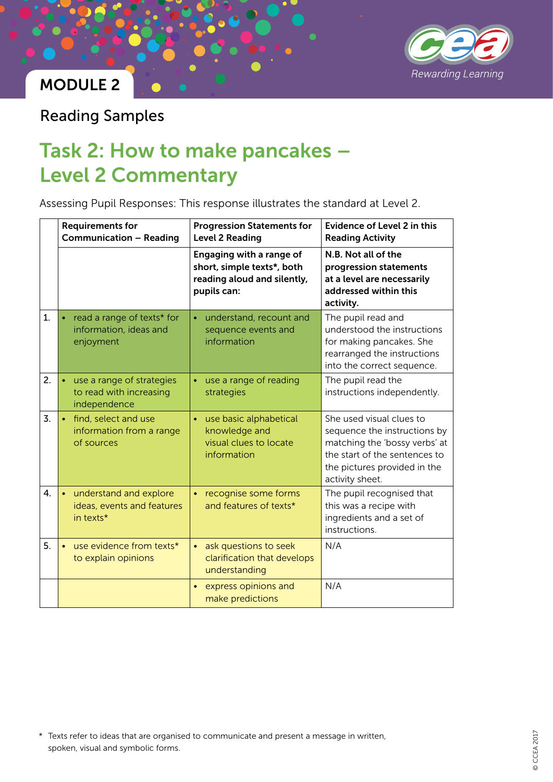

Reading Samples

## Task 2: How to make pancakes – Level 2 Commentary

Assessing Pupil Responses: This response illustrates the standard at Level 2.

|                  | <b>Requirements for</b><br><b>Communication - Reading</b>                         | <b>Progression Statements for</b><br><b>Level 2 Reading</b>                                          | <b>Evidence of Level 2 in this</b><br><b>Reading Activity</b>                                                                                                                 |
|------------------|-----------------------------------------------------------------------------------|------------------------------------------------------------------------------------------------------|-------------------------------------------------------------------------------------------------------------------------------------------------------------------------------|
|                  |                                                                                   | Engaging with a range of<br>short, simple texts*, both<br>reading aloud and silently,<br>pupils can: | N.B. Not all of the<br>progression statements<br>at a level are necessarily<br>addressed within this<br>activity.                                                             |
| 1.               | read a range of texts* for<br>$\bullet$<br>information, ideas and<br>enjoyment    | understand, recount and<br>$\bullet$<br>sequence events and<br>information                           | The pupil read and<br>understood the instructions<br>for making pancakes. She<br>rearranged the instructions<br>into the correct sequence.                                    |
| 2.               | use a range of strategies<br>$\bullet$<br>to read with increasing<br>independence | use a range of reading<br>$\bullet$<br>strategies                                                    | The pupil read the<br>instructions independently.                                                                                                                             |
| $\overline{3}$ . | • find, select and use<br>information from a range<br>of sources                  | use basic alphabetical<br>$\bullet$<br>knowledge and<br>visual clues to locate<br>information        | She used visual clues to<br>sequence the instructions by<br>matching the 'bossy verbs' at<br>the start of the sentences to<br>the pictures provided in the<br>activity sheet. |
| 4.               | understand and explore<br>$\bullet$<br>ideas, events and features<br>in texts*    | recognise some forms<br>$\bullet$<br>and features of texts*                                          | The pupil recognised that<br>this was a recipe with<br>ingredients and a set of<br>instructions.                                                                              |
| 5.               | use evidence from texts*<br>$\bullet$<br>to explain opinions                      | ask questions to seek<br>$\bullet$<br>clarification that develops<br>understanding                   | N/A                                                                                                                                                                           |
|                  |                                                                                   | express opinions and<br>make predictions                                                             | N/A                                                                                                                                                                           |

\* Texts refer to ideas that are organised to communicate and present a message in written, spoken, visual and symbolic forms.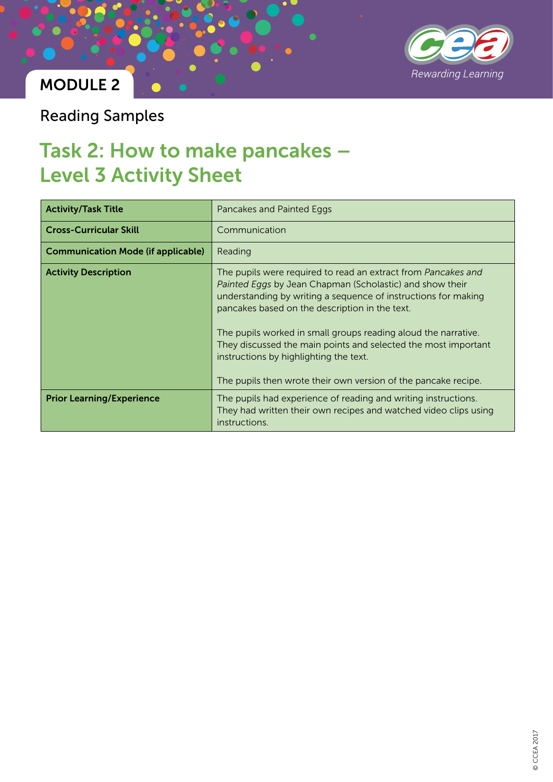

Reading Samples

## Task 2: How to make pancakes – Level 3 Activity Sheet

| <b>Activity/Task Title</b>                | Pancakes and Painted Eggs                                                                                                                                                                                                                                                                                                                                                                                                                                                                     |  |
|-------------------------------------------|-----------------------------------------------------------------------------------------------------------------------------------------------------------------------------------------------------------------------------------------------------------------------------------------------------------------------------------------------------------------------------------------------------------------------------------------------------------------------------------------------|--|
| <b>Cross-Curricular Skill</b>             | Communication                                                                                                                                                                                                                                                                                                                                                                                                                                                                                 |  |
| <b>Communication Mode (if applicable)</b> | Reading                                                                                                                                                                                                                                                                                                                                                                                                                                                                                       |  |
| <b>Activity Description</b>               | The pupils were required to read an extract from Pancakes and<br>Painted Eggs by Jean Chapman (Scholastic) and show their<br>understanding by writing a sequence of instructions for making<br>pancakes based on the description in the text.<br>The pupils worked in small groups reading aloud the narrative.<br>They discussed the main points and selected the most important<br>instructions by highlighting the text.<br>The pupils then wrote their own version of the pancake recipe. |  |
| <b>Prior Learning/Experience</b>          | The pupils had experience of reading and writing instructions.<br>They had written their own recipes and watched video clips using<br>instructions.                                                                                                                                                                                                                                                                                                                                           |  |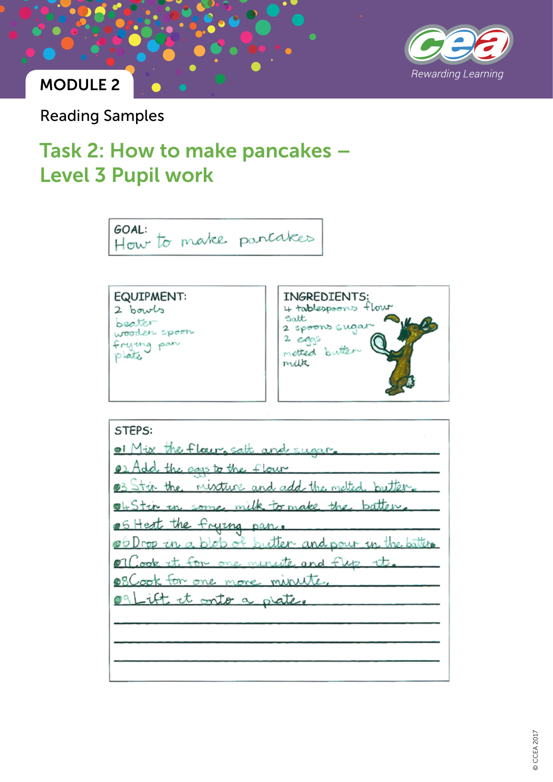

Reading Samples

## Task 2: How to make pancakes – Level 3 Pupil work



© CCEA 2017 **CCEA 2017**  $\odot$